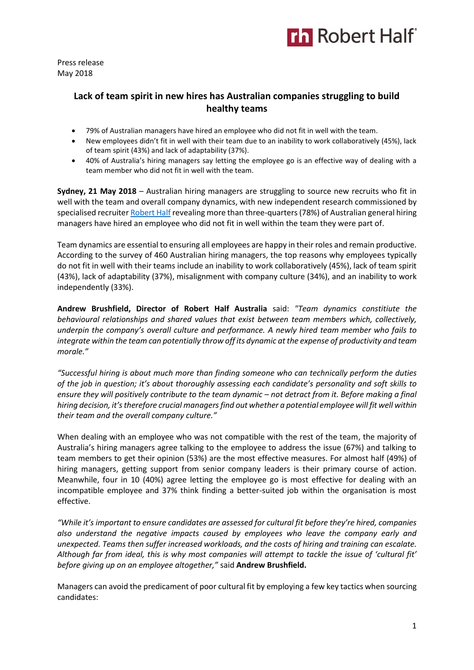

Press release May 2018

# **Lack of team spirit in new hires has Australian companies struggling to build healthy teams**

- 79% of Australian managers have hired an employee who did not fit in well with the team.
- New employees didn't fit in well with their team due to an inability to work collaboratively (45%), lack of team spirit (43%) and lack of adaptability (37%).
- 40% of Australia's hiring managers say letting the employee go is an effective way of dealing with a team member who did not fit in well with the team.

**Sydney, 21 May 2018** – Australian hiring managers are struggling to source new recruits who fit in well with the team and overall company dynamics, with new independent research commissioned by specialised recruiter [Robert Half](https://www.roberthalf.com.au/?utm_source=roberthalf&utm_medium=pressrelease&utm_campaign=rh-all-nonspecific-ongoing) revealing more than three-quarters (78%) of Australian general hiring managers have hired an employee who did not fit in well within the team they were part of.

Team dynamics are essential to ensuring all employees are happy in their roles and remain productive. According to the survey of 460 Australian hiring managers, the top reasons why employees typically do not fit in well with their teams include an inability to work collaboratively (45%), lack of team spirit (43%), lack of adaptability (37%), misalignment with company culture (34%), and an inability to work independently (33%).

**Andrew Brushfield, Director of Robert Half Australia** said: *"Team dynamics constitiute the behavioural relationships and shared values that exist between team members which, collectively, underpin the company's overall culture and performance. A newly hired team member who fails to integrate within the team can potentially throw off its dynamic at the expense of productivity and team morale."*

*"Successful hiring is about much more than finding someone who can technically perform the duties of the job in question; it's about thoroughly assessing each candidate's personality and soft skills to ensure they will positively contribute to the team dynamic – not detract from it. Before making a final hiring decision, it's therefore crucial managers find out whether a potential employee will fit well within their team and the overall company culture."*

When dealing with an employee who was not compatible with the rest of the team, the majority of Australia's hiring managers agree talking to the employee to address the issue (67%) and talking to team members to get their opinion (53%) are the most effective measures. For almost half (49%) of hiring managers, getting support from senior company leaders is their primary course of action. Meanwhile, four in 10 (40%) agree letting the employee go is most effective for dealing with an incompatible employee and 37% think finding a better-suited job within the organisation is most effective.

*"While it's important to ensure candidates are assessed for cultural fit before they're hired, companies also understand the negative impacts caused by employees who leave the company early and unexpected. Teams then suffer increased workloads, and the costs of hiring and training can escalate.*  Although far from ideal, this is why most companies will attempt to tackle the issue of 'cultural fit' *before giving up on an employee altogether,"* said **Andrew Brushfield.** 

Managers can avoid the predicament of poor cultural fit by employing a few key tactics when sourcing candidates: